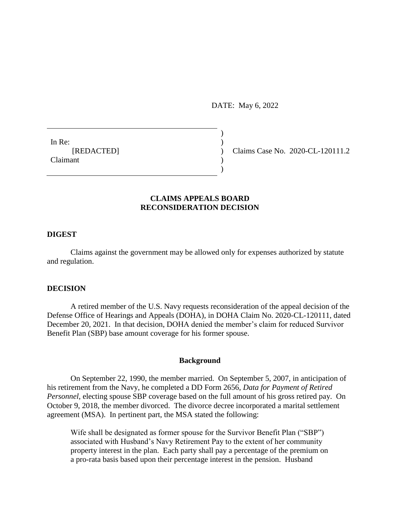DATE: May 6, 2022

 $)$ 

)

In Re:  $\qquad \qquad$ ) **Claimant** 

[REDACTED] ) Claims Case No. 2020-CL-120111.2

# **CLAIMS APPEALS BOARD RECONSIDERATION DECISION**

## **DIGEST**

Claims against the government may be allowed only for expenses authorized by statute and regulation.

## **DECISION**

A retired member of the U.S. Navy requests reconsideration of the appeal decision of the Defense Office of Hearings and Appeals (DOHA), in DOHA Claim No. 2020-CL-120111, dated December 20, 2021. In that decision, DOHA denied the member's claim for reduced Survivor Benefit Plan (SBP) base amount coverage for his former spouse.

### **Background**

On September 22, 1990, the member married. On September 5, 2007, in anticipation of his retirement from the Navy, he completed a DD Form 2656, *Data for Payment of Retired Personnel*, electing spouse SBP coverage based on the full amount of his gross retired pay. On October 9, 2018, the member divorced. The divorce decree incorporated a marital settlement agreement (MSA). In pertinent part, the MSA stated the following:

Wife shall be designated as former spouse for the Survivor Benefit Plan ("SBP") associated with Husband's Navy Retirement Pay to the extent of her community property interest in the plan. Each party shall pay a percentage of the premium on a pro-rata basis based upon their percentage interest in the pension. Husband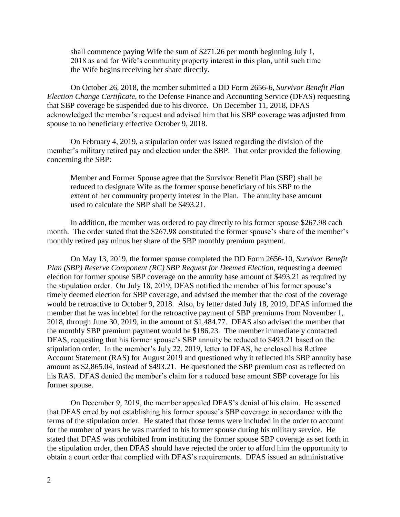shall commence paying Wife the sum of \$271.26 per month beginning July 1, 2018 as and for Wife's community property interest in this plan, until such time the Wife begins receiving her share directly.

On October 26, 2018, the member submitted a DD Form 2656-6, *Survivor Benefit Plan Election Change Certificate*, to the Defense Finance and Accounting Service (DFAS) requesting that SBP coverage be suspended due to his divorce. On December 11, 2018, DFAS acknowledged the member's request and advised him that his SBP coverage was adjusted from spouse to no beneficiary effective October 9, 2018.

On February 4, 2019, a stipulation order was issued regarding the division of the member's military retired pay and election under the SBP. That order provided the following concerning the SBP:

Member and Former Spouse agree that the Survivor Benefit Plan (SBP) shall be reduced to designate Wife as the former spouse beneficiary of his SBP to the extent of her community property interest in the Plan. The annuity base amount used to calculate the SBP shall be \$493.21.

In addition, the member was ordered to pay directly to his former spouse \$267.98 each month. The order stated that the \$267.98 constituted the former spouse's share of the member's monthly retired pay minus her share of the SBP monthly premium payment.

On May 13, 2019, the former spouse completed the DD Form 2656-10, *Survivor Benefit Plan (SBP) Reserve Component (RC) SBP Request for Deemed Election*, requesting a deemed election for former spouse SBP coverage on the annuity base amount of \$493.21 as required by the stipulation order. On July 18, 2019, DFAS notified the member of his former spouse's timely deemed election for SBP coverage, and advised the member that the cost of the coverage would be retroactive to October 9, 2018. Also, by letter dated July 18, 2019, DFAS informed the member that he was indebted for the retroactive payment of SBP premiums from November 1, 2018, through June 30, 2019, in the amount of [\\$1,484.77](https://1,484.77). DFAS also advised the member that the monthly SBP premium payment would be \$186.23. The member immediately contacted DFAS, requesting that his former spouse's SBP annuity be reduced to \$493.21 based on the stipulation order. In the member's July 22, 2019, letter to DFAS, he enclosed his Retiree Account Statement (RAS) for August 2019 and questioned why it reflected his SBP annuity base amount as \$[2,865.04,](https://2,865.04) instead of \$493.21. He questioned the SBP premium cost as reflected on his RAS. DFAS denied the member's claim for a reduced base amount SBP coverage for his former spouse.

On December 9, 2019, the member appealed DFAS's denial of his claim. He asserted that DFAS erred by not establishing his former spouse's SBP coverage in accordance with the terms of the stipulation order. He stated that those terms were included in the order to account for the number of years he was married to his former spouse during his military service. He stated that DFAS was prohibited from instituting the former spouse SBP coverage as set forth in the stipulation order, then DFAS should have rejected the order to afford him the opportunity to obtain a court order that complied with DFAS's requirements. DFAS issued an administrative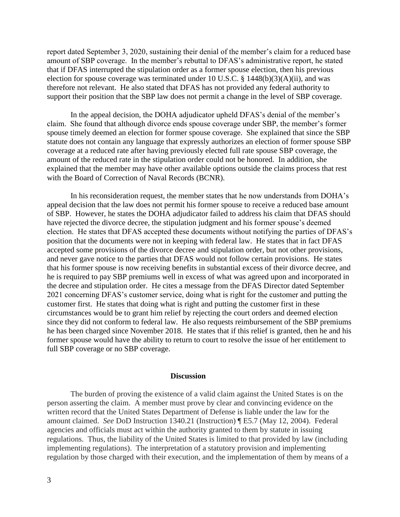report dated September 3, 2020, sustaining their denial of the member's claim for a reduced base amount of SBP coverage. In the member's rebuttal to DFAS's administrative report, he stated that if DFAS interrupted the stipulation order as a former spouse election, then his previous election for spouse coverage was terminated under 10 U.S.C.  $\S$  1448(b)(3)(A)(ii), and was therefore not relevant. He also stated that DFAS has not provided any federal authority to support their position that the SBP law does not permit a change in the level of SBP coverage.

In the appeal decision, the DOHA adjudicator upheld DFAS's denial of the member's claim. She found that although divorce ends spouse coverage under SBP, the member's former spouse timely deemed an election for former spouse coverage. She explained that since the SBP statute does not contain any language that expressly authorizes an election of former spouse SBP coverage at a reduced rate after having previously elected full rate spouse SBP coverage, the amount of the reduced rate in the stipulation order could not be honored. In addition, she explained that the member may have other available options outside the claims process that rest with the Board of Correction of Naval Records (BCNR).

In his reconsideration request, the member states that he now understands from DOHA's appeal decision that the law does not permit his former spouse to receive a reduced base amount of SBP. However, he states the DOHA adjudicator failed to address his claim that DFAS should have rejected the divorce decree, the stipulation judgment and his former spouse's deemed election. He states that DFAS accepted these documents without notifying the parties of DFAS's position that the documents were not in keeping with federal law. He states that in fact DFAS accepted some provisions of the divorce decree and stipulation order, but not other provisions, and never gave notice to the parties that DFAS would not follow certain provisions. He states that his former spouse is now receiving benefits in substantial excess of their divorce decree, and he is required to pay SBP premiums well in excess of what was agreed upon and incorporated in the decree and stipulation order. He cites a message from the DFAS Director dated September 2021 concerning DFAS's customer service, doing what is right for the customer and putting the customer first. He states that doing what is right and putting the customer first in these circumstances would be to grant him relief by rejecting the court orders and deemed election since they did not conform to federal law. He also requests reimbursement of the SBP premiums he has been charged since November 2018. He states that if this relief is granted, then he and his former spouse would have the ability to return to court to resolve the issue of her entitlement to full SBP coverage or no SBP coverage.

#### **Discussion**

The burden of proving the existence of a valid claim against the United States is on the person asserting the claim. A member must prove by clear and convincing evidence on the written record that the United States Department of Defense is liable under the law for the amount claimed. *See* DoD Instruction 1340.21 (Instruction) ¶ E5.7 (May 12, 2004). Federal agencies and officials must act within the authority granted to them by statute in issuing regulations. Thus, the liability of the United States is limited to that provided by law (including implementing regulations). The interpretation of a statutory provision and implementing regulation by those charged with their execution, and the implementation of them by means of a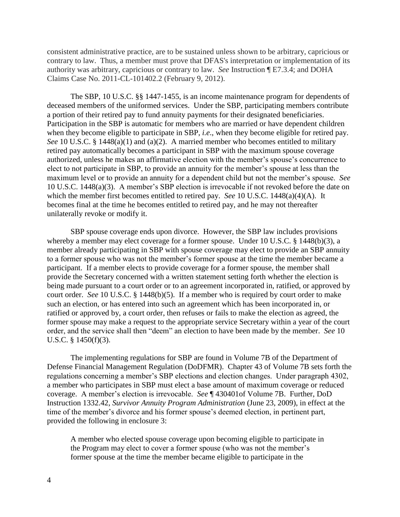consistent administrative practice, are to be sustained unless shown to be arbitrary, capricious or contrary to law. Thus, a member must prove that DFAS's interpretation or implementation of its authority was arbitrary, capricious or contrary to law. *See* Instruction ¶ E7.3.4; and DOHA Claims Case No. 2011-CL-101402.2 (February 9, 2012).

The SBP, [10 U.S.C. §§ 1447-](http://www.westlaw.com/Link/Document/FullText?findType=L&pubNum=1000546&cite=10USCAS1447&originatingDoc=I98782673cc0111e18b05fdf15589d8e8&refType=LQ&originationContext=document&vr=3.0&rs=cblt1.0&transitionType=DocumentItem&contextData=(sc.Search))1455, is an income maintenance program for dependents of deceased members of the uniformed services. Under the SBP, participating members contribute a portion of their retired pay to fund annuity payments for their designated beneficiaries. Participation in the SBP is automatic for members who are married or have dependent children when they become eligible to participate in SBP, *i.e*., when they become eligible for retired pay. *See* 10 U.S.C. § 1448(a)(1) and (a)(2). A married member who becomes entitled to military retired pay automatically becomes a participant in SBP with the maximum spouse coverage authorized, unless he makes an affirmative election with the member's spouse's concurrence to elect to not participate in SBP, to provide an annuity for the member's spouse at less than the maximum level or to provide an annuity for a dependent child but not the member's spouse. *See*  10 U.S.C. 1448(a)(3). A member's SBP election is irrevocable if not revoked before the date on which the member first becomes entitled to retired pay. *See* 10 U.S.C. 1448(a)(4)(A). It becomes final at the time he becomes entitled to retired pay, and he may not thereafter unilaterally revoke or modify it.

SBP spouse coverage ends upon divorce. However, the SBP law includes provisions whereby a member may elect coverage for a former spouse. Under [10 U.S.C. § 1448\(b\)\(3\),](http://www.westlaw.com/Link/Document/FullText?findType=L&pubNum=1000546&cite=10USCAS1448&originatingDoc=I98782673cc0111e18b05fdf15589d8e8&refType=RB&originationContext=document&vr=3.0&rs=cblt1.0&transitionType=DocumentItem&contextData=(sc.Search)#co_pp_d801000002763) a member already participating in SBP with spouse coverage may elect to provide an SBP annuity to a former spouse who was not the member's former spouse at the time the member became a participant. If a member elects to provide coverage for a former spouse, the member shall provide the Secretary concerned with a written statement setting forth whether the election is being made pursuant to a court order or to an agreement incorporated in, ratified, or approved by court order. *See* [10 U.S.C. § 1448\(b\)\(5\).](http://www.westlaw.com/Link/Document/FullText?findType=L&pubNum=1000546&cite=10USCAS1448&originatingDoc=I98782673cc0111e18b05fdf15589d8e8&refType=RB&originationContext=document&vr=3.0&rs=cblt1.0&transitionType=DocumentItem&contextData=(sc.Search)#co_pp_277b00009cfc7) If a member who is required by court order to make such an election, or has entered into such an agreement which has been incorporated in, or ratified or approved by, a court order, then refuses or fails to make the election as agreed, the former spouse may make a request to the appropriate service Secretary within a year of the court order, and the service shall then "deem" an election to have been made by the member. *See* [10](http://www.westlaw.com/Link/Document/FullText?findType=L&pubNum=1000546&cite=10USCAS1450&originatingDoc=I98782673cc0111e18b05fdf15589d8e8&refType=RB&originationContext=document&vr=3.0&rs=cblt1.0&transitionType=DocumentItem&contextData=(sc.Search)#co_pp_f8fc0000f70d0)  [U.S.C. § 1450\(f\)\(3\).](http://www.westlaw.com/Link/Document/FullText?findType=L&pubNum=1000546&cite=10USCAS1450&originatingDoc=I98782673cc0111e18b05fdf15589d8e8&refType=RB&originationContext=document&vr=3.0&rs=cblt1.0&transitionType=DocumentItem&contextData=(sc.Search)#co_pp_f8fc0000f70d0)

The implementing regulations for SBP are found in Volume 7B of the Department of Defense Financial Management Regulation (DoDFMR). Chapter 43 of Volume 7B sets forth the regulations concerning a member's SBP elections and election changes. Under paragraph 4302, a member who participates in SBP must elect a base amount of maximum coverage or reduced coverage. A member's election is irrevocable. *See* ¶ 430401of Volume 7B. Further, DoD Instruction 1332.42, *Survivor Annuity Program Administration* (June 23, 2009), in effect at the time of the member's divorce and his former spouse's deemed election, in pertinent part, provided the following in enclosure 3:

A member who elected spouse coverage upon becoming eligible to participate in the Program may elect to cover a former spouse (who was not the member's former spouse at the time the member became eligible to participate in the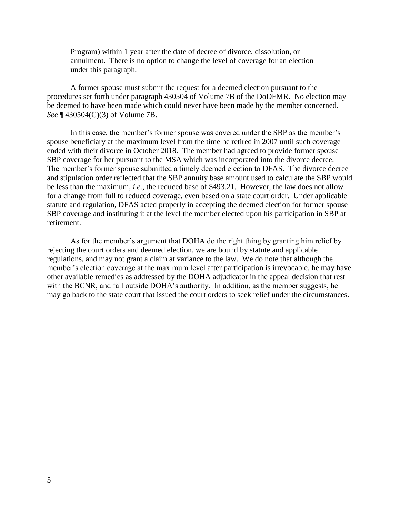Program) within 1 year after the date of decree of divorce, dissolution, or annulment. There is no option to change the level of coverage for an election under this paragraph.

A former spouse must submit the request for a deemed election pursuant to the procedures set forth under paragraph 430504 of Volume 7B of the DoDFMR. No election may be deemed to have been made which could never have been made by the member concerned. *See* ¶ 430504(C)(3) of Volume 7B.

In this case, the member's former spouse was covered under the SBP as the member's spouse beneficiary at the maximum level from the time he retired in 2007 until such coverage ended with their divorce in October 2018. The member had agreed to provide former spouse SBP coverage for her pursuant to the MSA which was incorporated into the divorce decree. The member's former spouse submitted a timely deemed election to DFAS. The divorce decree and stipulation order reflected that the SBP annuity base amount used to calculate the SBP would be less than the maximum, *i.e.*, the reduced base of \$493.21. However, the law does not allow for a change from full to reduced coverage, even based on a state court order. Under applicable statute and regulation, DFAS acted properly in accepting the deemed election for former spouse SBP coverage and instituting it at the level the member elected upon his participation in SBP at retirement.

As for the member's argument that DOHA do the right thing by granting him relief by rejecting the court orders and deemed election, we are bound by statute and applicable regulations, and may not grant a claim at variance to the law. We do note that although the member's election coverage at the maximum level after participation is irrevocable, he may have other available remedies as addressed by the DOHA adjudicator in the appeal decision that rest with the BCNR, and fall outside DOHA's authority. In addition, as the member suggests, he may go back to the state court that issued the court orders to seek relief under the circumstances.